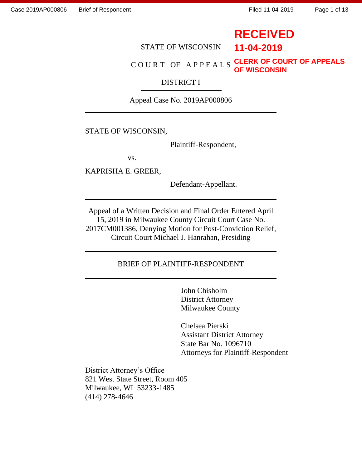# **RECEIVED**

**11-04-2019**

STATE OF WISCONSIN

#### COURT OF APPEALS **CLERK OF COURT OF APPEALS OF WISCONSIN**

#### DISTRICT I

Appeal Case No. 2019AP000806

#### STATE OF WISCONSIN,

Plaintiff-Respondent,

vs.

KAPRISHA E. GREER,

Defendant-Appellant.

Appeal of a Written Decision and Final Order Entered April 15, 2019 in Milwaukee County Circuit Court Case No. 2017CM001386, Denying Motion for Post-Conviction Relief, Circuit Court Michael J. Hanrahan, Presiding

#### BRIEF OF PLAINTIFF-RESPONDENT

John Chisholm District Attorney Milwaukee County

Chelsea Pierski Assistant District Attorney State Bar No. 1096710 Attorneys for Plaintiff-Respondent

District Attorney's Office 821 West State Street, Room 405 Milwaukee, WI 53233-1485 (414) 278-4646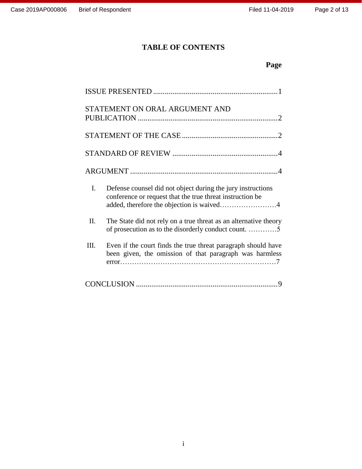### **TABLE OF CONTENTS**

## **Page**

| STATEMENT ON ORAL ARGUMENT AND                                                                                                                                              |
|-----------------------------------------------------------------------------------------------------------------------------------------------------------------------------|
|                                                                                                                                                                             |
|                                                                                                                                                                             |
|                                                                                                                                                                             |
| I.<br>Defense counsel did not object during the jury instructions<br>conference or request that the true threat instruction be<br>added, therefore the objection is waived4 |
| Π.<br>The State did not rely on a true threat as an alternative theory<br>of prosecution as to the disorderly conduct count. 5                                              |
| Even if the court finds the true threat paragraph should have<br>III.<br>been given, the omission of that paragraph was harmless                                            |
|                                                                                                                                                                             |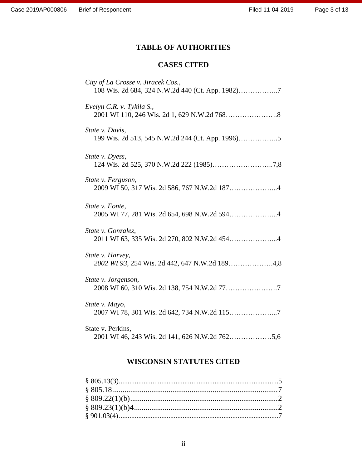### **TABLE OF AUTHORITIES**

### **CASES CITED**

| City of La Crosse v. Jiracek Cos.,                                  |
|---------------------------------------------------------------------|
| Evelyn C.R. v. Tykila S.,                                           |
| State v. Davis,                                                     |
| State v. Dyess,                                                     |
| State v. Ferguson,<br>2009 WI 50, 317 Wis. 2d 586, 767 N.W.2d 1874  |
| State v. Fonte,<br>2005 WI 77, 281 Wis. 2d 654, 698 N.W.2d 5944     |
| State v. Gonzalez,                                                  |
| State v. Harvey,<br>2002 WI 93, 254 Wis. 2d 442, 647 N.W.2d 1894,8  |
| State v. Jorgenson,                                                 |
| State v. Mayo,                                                      |
| State v. Perkins,<br>2001 WI 46, 243 Wis. 2d 141, 626 N.W.2d 7625,6 |

### **WISCONSIN STATUTES CITED**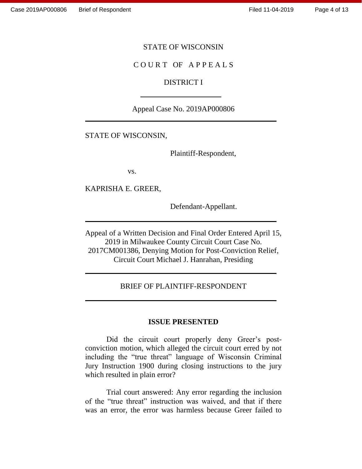#### STATE OF WISCONSIN

#### COURT OF APPEALS

#### DISTRICT I

#### Appeal Case No. 2019AP000806

#### STATE OF WISCONSIN,

Plaintiff-Respondent,

vs.

KAPRISHA E. GREER,

Defendant-Appellant.

Appeal of a Written Decision and Final Order Entered April 15, 2019 in Milwaukee County Circuit Court Case No. 2017CM001386, Denying Motion for Post-Conviction Relief, Circuit Court Michael J. Hanrahan, Presiding

#### BRIEF OF PLAINTIFF-RESPONDENT

#### **ISSUE PRESENTED**

Did the circuit court properly deny Greer's postconviction motion, which alleged the circuit court erred by not including the "true threat" language of Wisconsin Criminal Jury Instruction 1900 during closing instructions to the jury which resulted in plain error?

Trial court answered: Any error regarding the inclusion of the "true threat" instruction was waived, and that if there was an error, the error was harmless because Greer failed to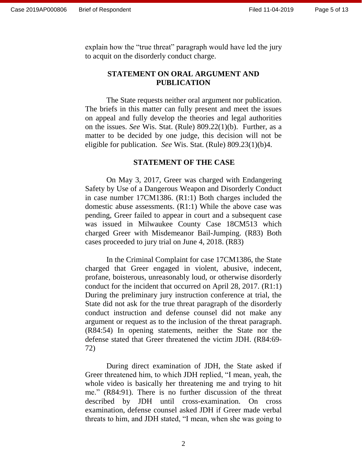explain how the "true threat" paragraph would have led the jury to acquit on the disorderly conduct charge.

#### **STATEMENT ON ORAL ARGUMENT AND PUBLICATION**

The State requests neither oral argument nor publication. The briefs in this matter can fully present and meet the issues on appeal and fully develop the theories and legal authorities on the issues. *See* Wis. Stat. (Rule) 809.22(1)(b). Further, as a matter to be decided by one judge, this decision will not be eligible for publication. *See* Wis. Stat. (Rule) 809.23(1)(b)4.

#### **STATEMENT OF THE CASE**

On May 3, 2017, Greer was charged with Endangering Safety by Use of a Dangerous Weapon and Disorderly Conduct in case number 17CM1386. (R1:1) Both charges included the domestic abuse assessments. (R1:1) While the above case was pending, Greer failed to appear in court and a subsequent case was issued in Milwaukee County Case 18CM513 which charged Greer with Misdemeanor Bail-Jumping. (R83) Both cases proceeded to jury trial on June 4, 2018. (R83)

In the Criminal Complaint for case 17CM1386, the State charged that Greer engaged in violent, abusive, indecent, profane, boisterous, unreasonably loud, or otherwise disorderly conduct for the incident that occurred on April 28, 2017. (R1:1) During the preliminary jury instruction conference at trial, the State did not ask for the true threat paragraph of the disorderly conduct instruction and defense counsel did not make any argument or request as to the inclusion of the threat paragraph. (R84:54) In opening statements, neither the State nor the defense stated that Greer threatened the victim JDH. (R84:69- 72)

During direct examination of JDH, the State asked if Greer threatened him, to which JDH replied, "I mean, yeah, the whole video is basically her threatening me and trying to hit me." (R84:91). There is no further discussion of the threat described by JDH until cross-examination. On cross examination, defense counsel asked JDH if Greer made verbal threats to him, and JDH stated, "I mean, when she was going to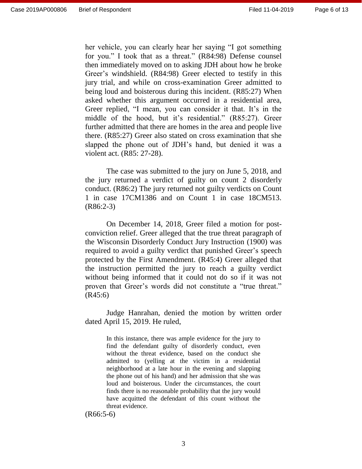her vehicle, you can clearly hear her saying "I got something for you." I took that as a threat." (R84:98) Defense counsel then immediately moved on to asking JDH about how he broke Greer's windshield. (R84:98) Greer elected to testify in this jury trial, and while on cross-examination Greer admitted to being loud and boisterous during this incident. (R85:27) When asked whether this argument occurred in a residential area, Greer replied, "I mean, you can consider it that. It's in the middle of the hood, but it's residential." (R85:27). Greer further admitted that there are homes in the area and people live there. (R85:27) Greer also stated on cross examination that she slapped the phone out of JDH's hand, but denied it was a violent act. (R85: 27-28).

The case was submitted to the jury on June 5, 2018, and the jury returned a verdict of guilty on count 2 disorderly conduct. (R86:2) The jury returned not guilty verdicts on Count 1 in case 17CM1386 and on Count 1 in case 18CM513. (R86:2-3)

On December 14, 2018, Greer filed a motion for postconviction relief. Greer alleged that the true threat paragraph of the Wisconsin Disorderly Conduct Jury Instruction (1900) was required to avoid a guilty verdict that punished Greer's speech protected by the First Amendment. (R45:4) Greer alleged that the instruction permitted the jury to reach a guilty verdict without being informed that it could not do so if it was not proven that Greer's words did not constitute a "true threat." (R45:6)

Judge Hanrahan, denied the motion by written order dated April 15, 2019. He ruled,

> In this instance, there was ample evidence for the jury to find the defendant guilty of disorderly conduct, even without the threat evidence, based on the conduct she admitted to (yelling at the victim in a residential neighborhood at a late hour in the evening and slapping the phone out of his hand) and her admission that she was loud and boisterous. Under the circumstances, the court finds there is no reasonable probability that the jury would have acquitted the defendant of this count without the threat evidence.

(R66:5-6)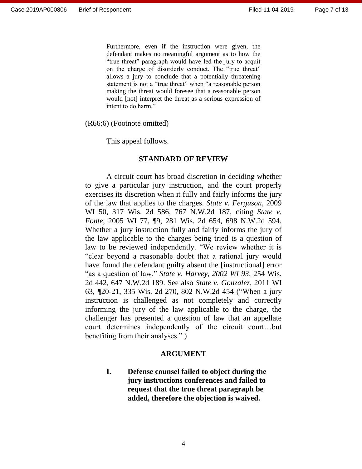Furthermore, even if the instruction were given, the defendant makes no meaningful argument as to how the "true threat" paragraph would have led the jury to acquit on the charge of disorderly conduct. The "true threat" allows a jury to conclude that a potentially threatening statement is not a "true threat" when "a reasonable person making the threat would foresee that a reasonable person would [not] interpret the threat as a serious expression of intent to do harm."

(R66:6) (Footnote omitted)

This appeal follows.

#### **STANDARD OF REVIEW**

A circuit court has broad discretion in deciding whether to give a particular jury instruction, and the court properly exercises its discretion when it fully and fairly informs the jury of the law that applies to the charges. *State v. Ferguson,* 2009 WI 50, 317 Wis. 2d 586, 767 N.W.2d 187, citing *State v. Fonte,* 2005 WI 77, ¶9, 281 Wis. 2d 654, 698 N.W.2d 594*.*  Whether a jury instruction fully and fairly informs the jury of the law applicable to the charges being tried is a question of law to be reviewed independently. "We review whether it is "clear beyond a reasonable doubt that a rational jury would have found the defendant guilty absent the [instructional] error "as a question of law." *State v. Harvey, 2002 WI 93,* 254 Wis. 2d 442, 647 N.W.2d 189. See also *State v. Gonzalez*, 2011 WI 63, *¶*20-21, 335 Wis. 2d 270, 802 N.W.2d 454 ("When a jury instruction is challenged as not completely and correctly informing the jury of the law applicable to the charge, the challenger has presented a question of law that an appellate court determines independently of the circuit court…but benefiting from their analyses." )

#### **ARGUMENT**

**I. Defense counsel failed to object during the jury instructions conferences and failed to request that the true threat paragraph be added, therefore the objection is waived.**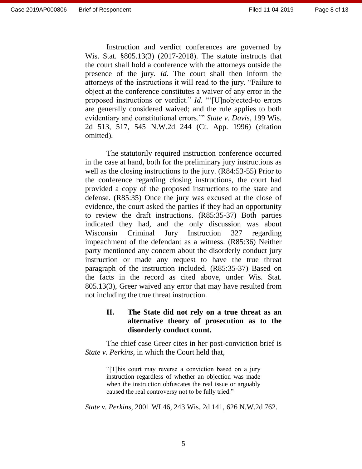Instruction and verdict conferences are governed by Wis. Stat. §805.13(3) (2017-2018). The statute instructs that the court shall hold a conference with the attorneys outside the presence of the jury. *Id.* The court shall then inform the attorneys of the instructions it will read to the jury. "Failure to object at the conference constitutes a waiver of any error in the proposed instructions or verdict." *Id*. "'[U]nobjected-to errors are generally considered waived; and the rule applies to both evidentiary and constitutional errors.'" *State v. Davis*, 199 Wis. 2d 513, 517, 545 N.W.2d 244 (Ct. App. 1996) (citation omitted).

The statutorily required instruction conference occurred in the case at hand, both for the preliminary jury instructions as well as the closing instructions to the jury. (R84:53-55) Prior to the conference regarding closing instructions, the court had provided a copy of the proposed instructions to the state and defense. (R85:35) Once the jury was excused at the close of evidence, the court asked the parties if they had an opportunity to review the draft instructions. (R85:35-37) Both parties indicated they had, and the only discussion was about Wisconsin Criminal Jury Instruction 327 regarding impeachment of the defendant as a witness. (R85:36) Neither party mentioned any concern about the disorderly conduct jury instruction or made any request to have the true threat paragraph of the instruction included. (R85:35-37) Based on the facts in the record as cited above, under Wis. Stat. 805.13(3), Greer waived any error that may have resulted from not including the true threat instruction.

### **II. The State did not rely on a true threat as an alternative theory of prosecution as to the disorderly conduct count.**

The chief case Greer cites in her post-conviction brief is *State v. Perkins,* in which the Court held that,

> "[T]his court may reverse a conviction based on a jury instruction regardless of whether an objection was made when the instruction obfuscates the real issue or arguably caused the real controversy not to be fully tried."

*State v. Perkins,* 2001 WI 46, 243 Wis. 2d 141, 626 N.W.2d 762.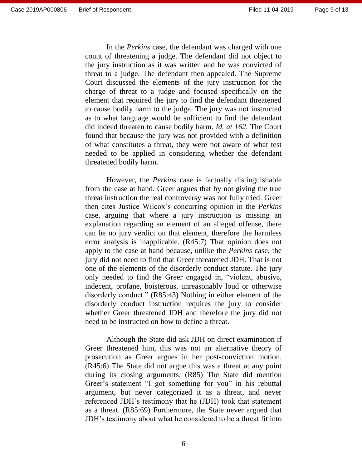In the *Perkins* case, the defendant was charged with one count of threatening a judge. The defendant did not object to the jury instruction as it was written and he was convicted of threat to a judge. The defendant then appealed. The Supreme Court discussed the elements of the jury instruction for the charge of threat to a judge and focused specifically on the element that required the jury to find the defendant threatened to cause bodily harm to the judge. The jury was not instructed as to what language would be sufficient to find the defendant did indeed threaten to cause bodily harm. *Id. at 162.* The Court found that because the jury was not provided with a definition of what constitutes a threat, they were not aware of what test needed to be applied in considering whether the defendant threatened bodily harm.

However, the *Perkins* case is factually distinguishable from the case at hand. Greer argues that by not giving the true threat instruction the real controversy was not fully tried. Greer then cites Justice Wilcox's concurring opinion in the *Perkins*  case, arguing that where a jury instruction is missing an explanation regarding an element of an alleged offense, there can be no jury verdict on that element, therefore the harmless error analysis is inapplicable. (R45:7) That opinion does not apply to the case at hand because, unlike the *Perkins* case, the jury did not need to find that Greer threatened JDH. That is not one of the elements of the disorderly conduct statute. The jury only needed to find the Greer engaged in, "violent, abusive, indecent, profane, boisterous, unreasonably loud or otherwise disorderly conduct." (R85:43) Nothing in either element of the disorderly conduct instruction requires the jury to consider whether Greer threatened JDH and therefore the jury did not need to be instructed on how to define a threat.

Although the State did ask JDH on direct examination if Greer threatened him, this was not an alternative theory of prosecution as Greer argues in her post-conviction motion. (R45:6) The State did not argue this was a threat at any point during its closing arguments. (R85) The State did mention Greer's statement "I got something for you" in his rebuttal argument, but never categorized it as a threat, and never referenced JDH's testimony that he (JDH) took that statement as a threat. (R85:69) Furthermore, the State never argued that JDH's testimony about what he considered to be a threat fit into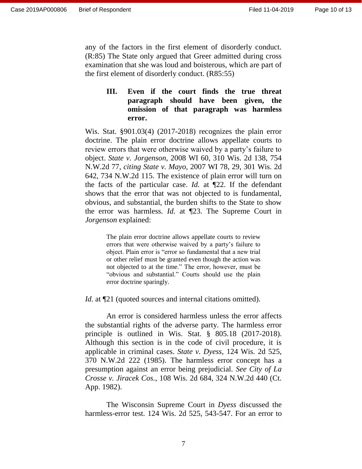any of the factors in the first element of disorderly conduct. (R:85) The State only argued that Greer admitted during cross examination that she was loud and boisterous, which are part of the first element of disorderly conduct. (R85:55)

### **III. Even if the court finds the true threat paragraph should have been given, the omission of that paragraph was harmless error.**

Wis. Stat. §901.03(4) (2017-2018) recognizes the plain error doctrine. The plain error doctrine allows appellate courts to review errors that were otherwise waived by a party's failure to object. *State v. Jorgenson*, 2008 WI 60, 310 Wis. 2d 138, 754 N.W.2d 77, *citing State v. Mayo,* 2007 WI 78, 29, 301 Wis. 2d 642, 734 N.W.2d 115. The existence of plain error will turn on the facts of the particular case. *Id.* at ¶22. If the defendant shows that the error that was not objected to is fundamental, obvious, and substantial, the burden shifts to the State to show the error was harmless. *Id*. at ¶23. The Supreme Court in *Jorgenson* explained:

> The plain error doctrine allows appellate courts to review errors that were otherwise waived by a party's failure to object. Plain error is "error so fundamental that a new trial or other relief must be granted even though the action was not objected to at the time." The error, however, must be "obvious and substantial." Courts should use the plain error doctrine sparingly.

*Id.* at  $\mathbb{Z}$  (quoted sources and internal citations omitted).

An error is considered harmless unless the error affects the substantial rights of the adverse party. The harmless error principle is outlined in Wis. Stat. § 805.18 (2017-2018). Although this section is in the code of civil procedure, it is applicable in criminal cases. *State v. Dyess*, 124 Wis. 2d 525, 370 N.W.2d 222 (1985). The harmless error concept has a presumption against an error being prejudicial. *See City of La Crosse v. Jiracek Cos.*, 108 Wis. 2d 684, 324 N.W.2d 440 (Ct. App. 1982).

The Wisconsin Supreme Court in *Dyess* discussed the harmless-error test. 124 Wis. 2d 525, 543-547. For an error to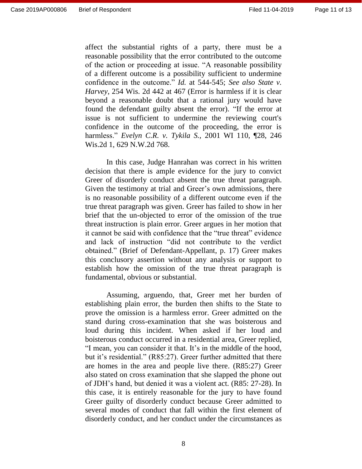affect the substantial rights of a party, there must be a reasonable possibility that the error contributed to the outcome of the action or proceeding at issue. "A reasonable possibility of a different outcome is a possibility sufficient to undermine confidence in the outcome." *[Id.](https://1.next.westlaw.com/Link/Document/FullText?findType=Y&serNum=1985133340&pubNum=0000595&originatingDoc=Ibba28ce3ff2711d983e7e9deff98dc6f&refType=RP&originationContext=document&transitionType=DocumentItem&contextData=(sc.UserEnteredCitation))* at 544-545; *See also State v. Harvey*, 254 Wis. 2d 442 at 467 (Error is harmless if it is clear beyond a reasonable doubt that a rational jury would have found the defendant guilty absent the error). "If the error at issue is not sufficient to undermine the reviewing court's confidence in the outcome of the proceeding, the error is harmless." *Evelyn C.R. v. Tykila S.,* 2001 WI 110, ¶28, 246 Wis.2d 1, 629 N.W.2d 768.

In this case, Judge Hanrahan was correct in his written decision that there is ample evidence for the jury to convict Greer of disorderly conduct absent the true threat paragraph. Given the testimony at trial and Greer's own admissions, there is no reasonable possibility of a different outcome even if the true threat paragraph was given. Greer has failed to show in her brief that the un-objected to error of the omission of the true threat instruction is plain error. Greer argues in her motion that it cannot be said with confidence that the "true threat" evidence and lack of instruction "did not contribute to the verdict obtained." (Brief of Defendant-Appellant, p. 17) Greer makes this conclusory assertion without any analysis or support to establish how the omission of the true threat paragraph is fundamental, obvious or substantial.

Assuming, arguendo, that, Greer met her burden of establishing plain error, the burden then shifts to the State to prove the omission is a harmless error. Greer admitted on the stand during cross-examination that she was boisterous and loud during this incident. When asked if her loud and boisterous conduct occurred in a residential area, Greer replied, "I mean, you can consider it that. It's in the middle of the hood, but it's residential." (R85:27). Greer further admitted that there are homes in the area and people live there. (R85:27) Greer also stated on cross examination that she slapped the phone out of JDH's hand, but denied it was a violent act. (R85: 27-28). In this case, it is entirely reasonable for the jury to have found Greer guilty of disorderly conduct because Greer admitted to several modes of conduct that fall within the first element of disorderly conduct, and her conduct under the circumstances as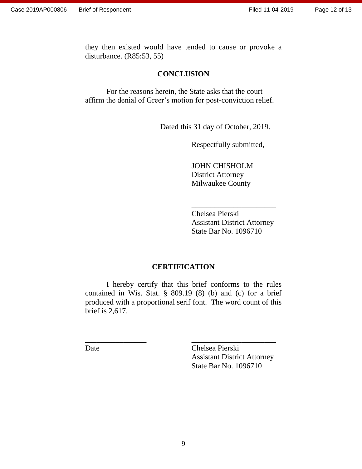Page 12 of 13

they then existed would have tended to cause or provoke a disturbance. (R85:53, 55)

#### **CONCLUSION**

For the reasons herein, the State asks that the court affirm the denial of Greer's motion for post-conviction relief.

Dated this 31 day of October, 2019.

Respectfully submitted,

JOHN CHISHOLM District Attorney Milwaukee County

Chelsea Pierski Assistant District Attorney State Bar No. 1096710

\_\_\_\_\_\_\_\_\_\_\_\_\_\_\_\_\_\_\_\_\_\_

#### **CERTIFICATION**

I hereby certify that this brief conforms to the rules contained in Wis. Stat. § 809.19 (8) (b) and (c) for a brief produced with a proportional serif font. The word count of this brief is 2,617.

\_\_\_\_\_\_\_\_\_\_\_\_\_\_\_\_ \_\_\_\_\_\_\_\_\_\_\_\_\_\_\_\_\_\_\_\_\_\_

Date Chelsea Pierski Assistant District Attorney State Bar No. 1096710